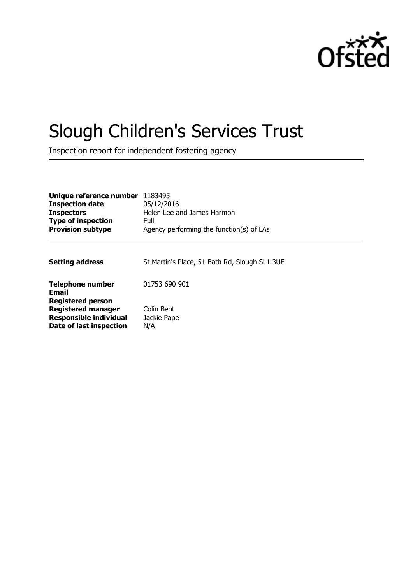

# Slough Children's Services Trust

Inspection report for independent fostering agency

| Unique reference number<br><b>Inspection date</b><br><b>Inspectors</b><br><b>Type of inspection</b><br><b>Provision subtype</b> | 1183495<br>05/12/2016<br>Helen Lee and James Harmon<br>Full<br>Agency performing the function(s) of LAs |
|---------------------------------------------------------------------------------------------------------------------------------|---------------------------------------------------------------------------------------------------------|
| <b>Setting address</b>                                                                                                          | St Martin's Place, 51 Bath Rd, Slough SL1 3UF                                                           |
| <b>Telephone number</b><br><b>Email</b>                                                                                         | 01753 690 901                                                                                           |
| <b>Registered person</b><br><b>Registered manager</b><br><b>Responsible individual</b><br>Date of last inspection               | Colin Bent<br>Jackie Pape<br>N/A                                                                        |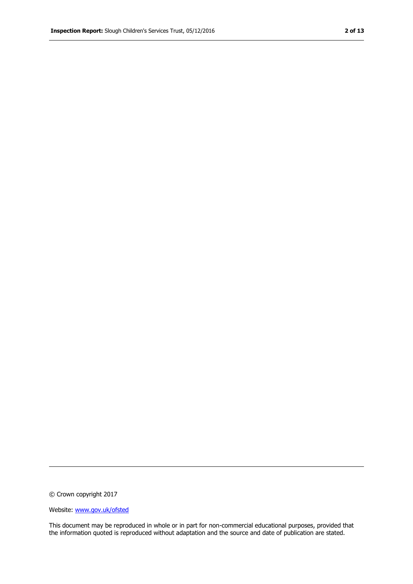© Crown copyright 2017

Website: www.gov.uk/ofsted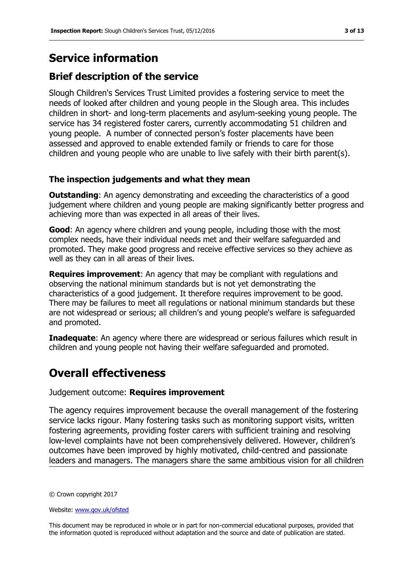## **Service information**

### **Brief description of the service**

Slough Children's Services Trust Limited provides a fostering service to meet the needs of looked after children and young people in the Slough area. This includes children in short- and long-term placements and asylum-seeking young people. The service has 34 registered foster carers, currently accommodating 51 children and young people. A number of connected person"s foster placements have been assessed and approved to enable extended family or friends to care for those children and young people who are unable to live safely with their birth parent(s).

### **The inspection judgements and what they mean**

**Outstanding:** An agency demonstrating and exceeding the characteristics of a good judgement where children and young people are making significantly better progress and achieving more than was expected in all areas of their lives.

**Good:** An agency where children and young people, including those with the most complex needs, have their individual needs met and their welfare safeguarded and promoted. They make good progress and receive effective services so they achieve as well as they can in all areas of their lives.

**Requires improvement**: An agency that may be compliant with regulations and observing the national minimum standards but is not yet demonstrating the characteristics of a good judgement. It therefore requires improvement to be good. There may be failures to meet all regulations or national minimum standards but these are not widespread or serious; all children's and young people's welfare is safeguarded and promoted.

**Inadequate:** An agency where there are widespread or serious failures which result in children and young people not having their welfare safeguarded and promoted.

# **Overall effectiveness**

Judgement outcome: **Requires improvement**

The agency requires improvement because the overall management of the fostering service lacks rigour. Many fostering tasks such as monitoring support visits, written fostering agreements, providing foster carers with sufficient training and resolving low-level complaints have not been comprehensively delivered. However, children"s outcomes have been improved by highly motivated, child-centred and passionate leaders and managers. The managers share the same ambitious vision for all children

© Crown copyright 2017

Website: www.gov.uk/ofsted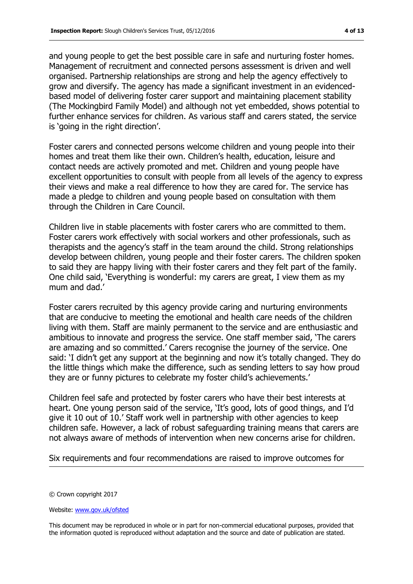and young people to get the best possible care in safe and nurturing foster homes. Management of recruitment and connected persons assessment is driven and well organised. Partnership relationships are strong and help the agency effectively to grow and diversify. The agency has made a significant investment in an evidencedbased model of delivering foster carer support and maintaining placement stability (The Mockingbird Family Model) and although not yet embedded, shows potential to further enhance services for children. As various staff and carers stated, the service is 'going in the right direction'.

Foster carers and connected persons welcome children and young people into their homes and treat them like their own. Children"s health, education, leisure and contact needs are actively promoted and met. Children and young people have excellent opportunities to consult with people from all levels of the agency to express their views and make a real difference to how they are cared for. The service has made a pledge to children and young people based on consultation with them through the Children in Care Council.

Children live in stable placements with foster carers who are committed to them. Foster carers work effectively with social workers and other professionals, such as therapists and the agency"s staff in the team around the child. Strong relationships develop between children, young people and their foster carers. The children spoken to said they are happy living with their foster carers and they felt part of the family. One child said, "Everything is wonderful: my carers are great, I view them as my mum and dad.'

Foster carers recruited by this agency provide caring and nurturing environments that are conducive to meeting the emotional and health care needs of the children living with them. Staff are mainly permanent to the service and are enthusiastic and ambitious to innovate and progress the service. One staff member said, "The carers are amazing and so committed." Carers recognise the journey of the service. One said: 'I didn't get any support at the beginning and now it's totally changed. They do the little things which make the difference, such as sending letters to say how proud they are or funny pictures to celebrate my foster child's achievements.'

Children feel safe and protected by foster carers who have their best interests at heart. One young person said of the service, "It"s good, lots of good things, and I"d give it 10 out of 10." Staff work well in partnership with other agencies to keep children safe. However, a lack of robust safeguarding training means that carers are not always aware of methods of intervention when new concerns arise for children.

Six requirements and four recommendations are raised to improve outcomes for

© Crown copyright 2017

Website: www.gov.uk/ofsted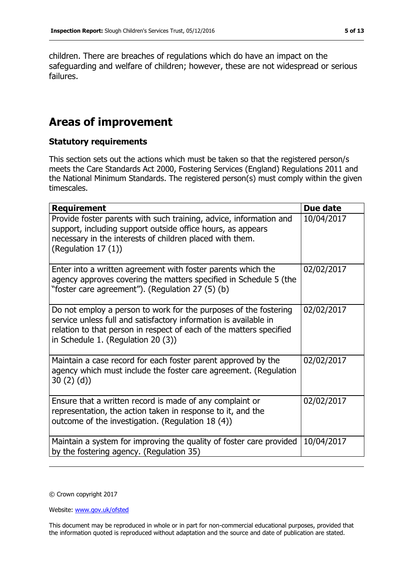children. There are breaches of regulations which do have an impact on the safeguarding and welfare of children; however, these are not widespread or serious failures.

# **Areas of improvement**

### **Statutory requirements**

This section sets out the actions which must be taken so that the registered person/s meets the Care Standards Act 2000, Fostering Services (England) Regulations 2011 and the National Minimum Standards. The registered person(s) must comply within the given timescales.

| <b>Requirement</b>                                                                                                                                                                                                                                | Due date   |
|---------------------------------------------------------------------------------------------------------------------------------------------------------------------------------------------------------------------------------------------------|------------|
| Provide foster parents with such training, advice, information and<br>support, including support outside office hours, as appears<br>necessary in the interests of children placed with them.<br>(Regulation 17 (1))                              | 10/04/2017 |
| Enter into a written agreement with foster parents which the<br>agency approves covering the matters specified in Schedule 5 (the<br>"foster care agreement"). (Regulation 27 (5) (b)                                                             | 02/02/2017 |
| Do not employ a person to work for the purposes of the fostering<br>service unless full and satisfactory information is available in<br>relation to that person in respect of each of the matters specified<br>in Schedule 1. (Regulation 20 (3)) | 02/02/2017 |
| Maintain a case record for each foster parent approved by the<br>agency which must include the foster care agreement. (Regulation<br>30(2)(d)                                                                                                     | 02/02/2017 |
| Ensure that a written record is made of any complaint or<br>representation, the action taken in response to it, and the<br>outcome of the investigation. (Regulation 18 (4))                                                                      | 02/02/2017 |
| Maintain a system for improving the quality of foster care provided<br>by the fostering agency. (Regulation 35)                                                                                                                                   | 10/04/2017 |

© Crown copyright 2017

Website: www.gov.uk/ofsted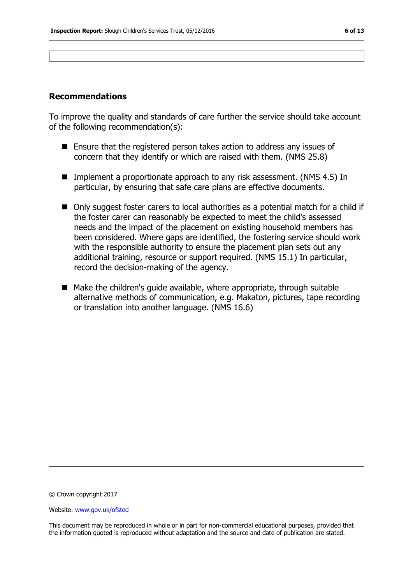### **Recommendations**

To improve the quality and standards of care further the service should take account of the following recommendation(s):

- Ensure that the registered person takes action to address any issues of concern that they identify or which are raised with them. (NMS 25.8)
- Implement a proportionate approach to any risk assessment. (NMS 4.5) In particular, by ensuring that safe care plans are effective documents.
- Only suggest foster carers to local authorities as a potential match for a child if the foster carer can reasonably be expected to meet the child's assessed needs and the impact of the placement on existing household members has been considered. Where gaps are identified, the fostering service should work with the responsible authority to ensure the placement plan sets out any additional training, resource or support required. (NMS 15.1) In particular, record the decision-making of the agency.
- $\blacksquare$  Make the children's quide available, where appropriate, through suitable alternative methods of communication, e.g. Makaton, pictures, tape recording or translation into another language. (NMS 16.6)

© Crown copyright 2017

Website: www.gov.uk/ofsted

This document may be reproduced in whole or in part for non-commercial educational purposes, provided that the information quoted is reproduced without adaptation and the source and date of publication are stated.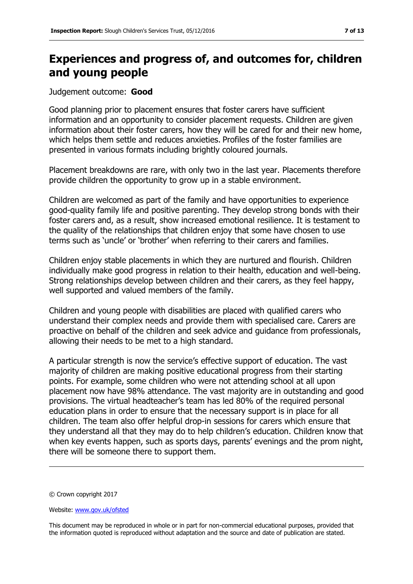# **Experiences and progress of, and outcomes for, children and young people**

Judgement outcome: **Good**

Good planning prior to placement ensures that foster carers have sufficient information and an opportunity to consider placement requests. Children are given information about their foster carers, how they will be cared for and their new home, which helps them settle and reduces anxieties. Profiles of the foster families are presented in various formats including brightly coloured journals.

Placement breakdowns are rare, with only two in the last year. Placements therefore provide children the opportunity to grow up in a stable environment.

Children are welcomed as part of the family and have opportunities to experience good-quality family life and positive parenting. They develop strong bonds with their foster carers and, as a result, show increased emotional resilience. It is testament to the quality of the relationships that children enjoy that some have chosen to use terms such as "uncle" or "brother" when referring to their carers and families.

Children enjoy stable placements in which they are nurtured and flourish. Children individually make good progress in relation to their health, education and well-being. Strong relationships develop between children and their carers, as they feel happy, well supported and valued members of the family.

Children and young people with disabilities are placed with qualified carers who understand their complex needs and provide them with specialised care. Carers are proactive on behalf of the children and seek advice and guidance from professionals, allowing their needs to be met to a high standard.

A particular strength is now the service's effective support of education. The vast majority of children are making positive educational progress from their starting points. For example, some children who were not attending school at all upon placement now have 98% attendance. The vast majority are in outstanding and good provisions. The virtual headteacher"s team has led 80% of the required personal education plans in order to ensure that the necessary support is in place for all children. The team also offer helpful drop-in sessions for carers which ensure that they understand all that they may do to help children"s education. Children know that when key events happen, such as sports days, parents' evenings and the prom night, there will be someone there to support them.

<sup>©</sup> Crown copyright 2017

Website: www.gov.uk/ofsted

This document may be reproduced in whole or in part for non-commercial educational purposes, provided that the information quoted is reproduced without adaptation and the source and date of publication are stated.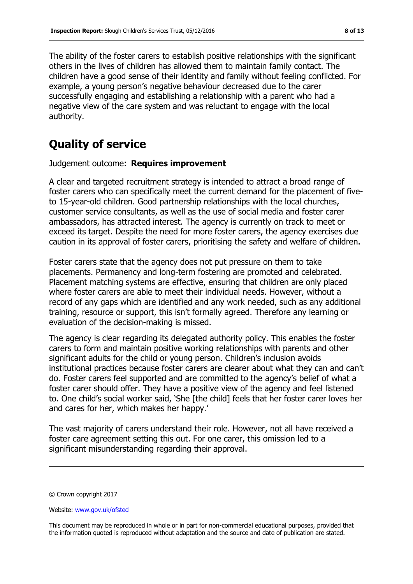The ability of the foster carers to establish positive relationships with the significant others in the lives of children has allowed them to maintain family contact. The children have a good sense of their identity and family without feeling conflicted. For example, a young person's negative behaviour decreased due to the carer successfully engaging and establishing a relationship with a parent who had a negative view of the care system and was reluctant to engage with the local authority.

# **Quality of service**

Judgement outcome: **Requires improvement**

A clear and targeted recruitment strategy is intended to attract a broad range of foster carers who can specifically meet the current demand for the placement of fiveto 15-year-old children. Good partnership relationships with the local churches, customer service consultants, as well as the use of social media and foster carer ambassadors, has attracted interest. The agency is currently on track to meet or exceed its target. Despite the need for more foster carers, the agency exercises due caution in its approval of foster carers, prioritising the safety and welfare of children.

Foster carers state that the agency does not put pressure on them to take placements. Permanency and long-term fostering are promoted and celebrated. Placement matching systems are effective, ensuring that children are only placed where foster carers are able to meet their individual needs. However, without a record of any gaps which are identified and any work needed, such as any additional training, resource or support, this isn"t formally agreed. Therefore any learning or evaluation of the decision-making is missed.

The agency is clear regarding its delegated authority policy. This enables the foster carers to form and maintain positive working relationships with parents and other significant adults for the child or young person. Children's inclusion avoids institutional practices because foster carers are clearer about what they can and can"t do. Foster carers feel supported and are committed to the agency"s belief of what a foster carer should offer. They have a positive view of the agency and feel listened to. One child"s social worker said, "She [the child] feels that her foster carer loves her and cares for her, which makes her happy.'

The vast majority of carers understand their role. However, not all have received a foster care agreement setting this out. For one carer, this omission led to a significant misunderstanding regarding their approval.

<sup>©</sup> Crown copyright 2017

Website: www.gov.uk/ofsted

This document may be reproduced in whole or in part for non-commercial educational purposes, provided that the information quoted is reproduced without adaptation and the source and date of publication are stated.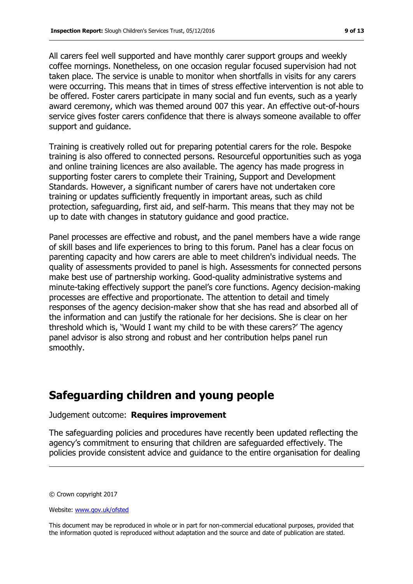All carers feel well supported and have monthly carer support groups and weekly coffee mornings. Nonetheless, on one occasion regular focused supervision had not taken place. The service is unable to monitor when shortfalls in visits for any carers were occurring. This means that in times of stress effective intervention is not able to be offered. Foster carers participate in many social and fun events, such as a yearly award ceremony, which was themed around 007 this year. An effective out-of-hours service gives foster carers confidence that there is always someone available to offer support and guidance.

Training is creatively rolled out for preparing potential carers for the role. Bespoke training is also offered to connected persons. Resourceful opportunities such as yoga and online training licences are also available. The agency has made progress in supporting foster carers to complete their Training, Support and Development Standards. However, a significant number of carers have not undertaken core training or updates sufficiently frequently in important areas, such as child protection, safeguarding, first aid, and self-harm. This means that they may not be up to date with changes in statutory guidance and good practice.

Panel processes are effective and robust, and the panel members have a wide range of skill bases and life experiences to bring to this forum. Panel has a clear focus on parenting capacity and how carers are able to meet children's individual needs. The quality of assessments provided to panel is high. Assessments for connected persons make best use of partnership working. Good-quality administrative systems and minute-taking effectively support the panel's core functions. Agency decision-making processes are effective and proportionate. The attention to detail and timely responses of the agency decision-maker show that she has read and absorbed all of the information and can justify the rationale for her decisions. She is clear on her threshold which is, "Would I want my child to be with these carers?" The agency panel advisor is also strong and robust and her contribution helps panel run smoothly.

### **Safeguarding children and young people**

#### Judgement outcome: **Requires improvement**

The safeguarding policies and procedures have recently been updated reflecting the agency"s commitment to ensuring that children are safeguarded effectively. The policies provide consistent advice and guidance to the entire organisation for dealing

© Crown copyright 2017

Website: www.gov.uk/ofsted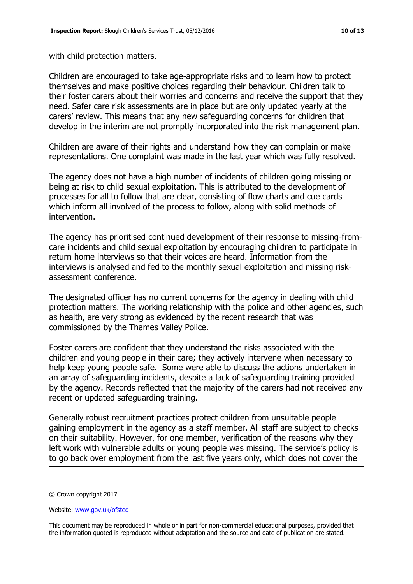with child protection matters.

Children are encouraged to take age-appropriate risks and to learn how to protect themselves and make positive choices regarding their behaviour. Children talk to their foster carers about their worries and concerns and receive the support that they need. Safer care risk assessments are in place but are only updated yearly at the carers" review. This means that any new safeguarding concerns for children that develop in the interim are not promptly incorporated into the risk management plan.

Children are aware of their rights and understand how they can complain or make representations. One complaint was made in the last year which was fully resolved.

The agency does not have a high number of incidents of children going missing or being at risk to child sexual exploitation. This is attributed to the development of processes for all to follow that are clear, consisting of flow charts and cue cards which inform all involved of the process to follow, along with solid methods of intervention.

The agency has prioritised continued development of their response to missing-fromcare incidents and child sexual exploitation by encouraging children to participate in return home interviews so that their voices are heard. Information from the interviews is analysed and fed to the monthly sexual exploitation and missing riskassessment conference.

The designated officer has no current concerns for the agency in dealing with child protection matters. The working relationship with the police and other agencies, such as health, are very strong as evidenced by the recent research that was commissioned by the Thames Valley Police.

Foster carers are confident that they understand the risks associated with the children and young people in their care; they actively intervene when necessary to help keep young people safe. Some were able to discuss the actions undertaken in an array of safeguarding incidents, despite a lack of safeguarding training provided by the agency. Records reflected that the majority of the carers had not received any recent or updated safeguarding training.

Generally robust recruitment practices protect children from unsuitable people gaining employment in the agency as a staff member. All staff are subject to checks on their suitability. However, for one member, verification of the reasons why they left work with vulnerable adults or young people was missing. The service's policy is to go back over employment from the last five years only, which does not cover the

<sup>©</sup> Crown copyright 2017

Website: www.gov.uk/ofsted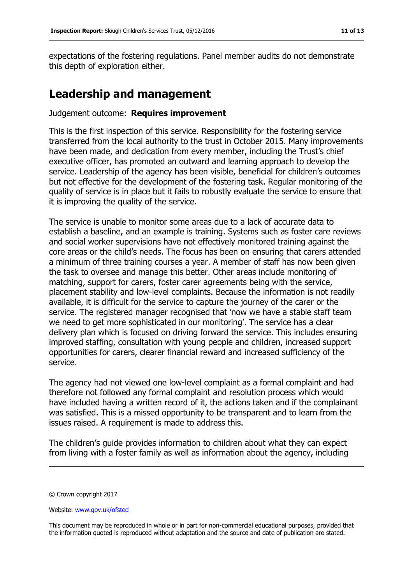expectations of the fostering regulations. Panel member audits do not demonstrate this depth of exploration either.

### **Leadership and management**

#### Judgement outcome: **Requires improvement**

This is the first inspection of this service. Responsibility for the fostering service transferred from the local authority to the trust in October 2015. Many improvements have been made, and dedication from every member, including the Trust's chief executive officer, has promoted an outward and learning approach to develop the service. Leadership of the agency has been visible, beneficial for children's outcomes but not effective for the development of the fostering task. Regular monitoring of the quality of service is in place but it fails to robustly evaluate the service to ensure that it is improving the quality of the service.

The service is unable to monitor some areas due to a lack of accurate data to establish a baseline, and an example is training. Systems such as foster care reviews and social worker supervisions have not effectively monitored training against the core areas or the child"s needs. The focus has been on ensuring that carers attended a minimum of three training courses a year. A member of staff has now been given the task to oversee and manage this better. Other areas include monitoring of matching, support for carers, foster carer agreements being with the service, placement stability and low-level complaints. Because the information is not readily available, it is difficult for the service to capture the journey of the carer or the service. The registered manager recognised that "now we have a stable staff team we need to get more sophisticated in our monitoring'. The service has a clear delivery plan which is focused on driving forward the service. This includes ensuring improved staffing, consultation with young people and children, increased support opportunities for carers, clearer financial reward and increased sufficiency of the service.

The agency had not viewed one low-level complaint as a formal complaint and had therefore not followed any formal complaint and resolution process which would have included having a written record of it, the actions taken and if the complainant was satisfied. This is a missed opportunity to be transparent and to learn from the issues raised. A requirement is made to address this.

The children's guide provides information to children about what they can expect from living with a foster family as well as information about the agency, including

<sup>©</sup> Crown copyright 2017

Website: www.gov.uk/ofsted

This document may be reproduced in whole or in part for non-commercial educational purposes, provided that the information quoted is reproduced without adaptation and the source and date of publication are stated.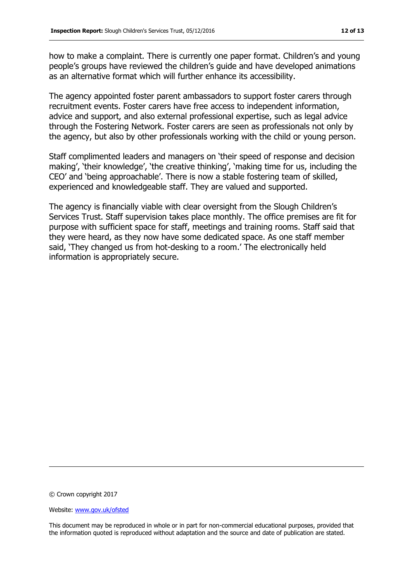how to make a complaint. There is currently one paper format. Children's and young people"s groups have reviewed the children"s guide and have developed animations as an alternative format which will further enhance its accessibility.

The agency appointed foster parent ambassadors to support foster carers through recruitment events. Foster carers have free access to independent information, advice and support, and also external professional expertise, such as legal advice through the Fostering Network. Foster carers are seen as professionals not only by the agency, but also by other professionals working with the child or young person.

Staff complimented leaders and managers on "their speed of response and decision making', 'their knowledge', 'the creative thinking', 'making time for us, including the CEO" and "being approachable". There is now a stable fostering team of skilled, experienced and knowledgeable staff. They are valued and supported.

The agency is financially viable with clear oversight from the Slough Children"s Services Trust. Staff supervision takes place monthly. The office premises are fit for purpose with sufficient space for staff, meetings and training rooms. Staff said that they were heard, as they now have some dedicated space. As one staff member said, 'They changed us from hot-desking to a room.' The electronically held information is appropriately secure.

© Crown copyright 2017

Website: www.gov.uk/ofsted

This document may be reproduced in whole or in part for non-commercial educational purposes, provided that the information quoted is reproduced without adaptation and the source and date of publication are stated.